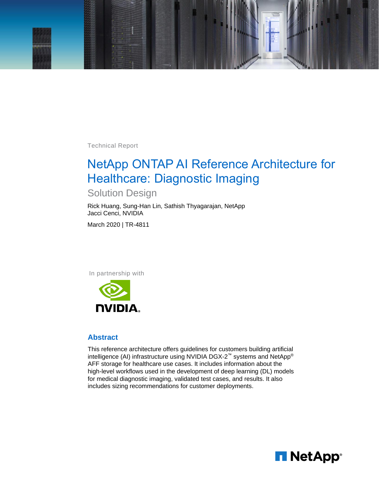

Technical Report

# NetApp ONTAP AI Reference Architecture for Healthcare: Diagnostic Imaging

## Solution Design

Rick Huang, Sung-Han Lin, Sathish Thyagarajan, NetApp Jacci Cenci, NVIDIA

March 2020 | TR-4811

In partnership with



#### **Abstract**

This reference architecture offers guidelines for customers building artificial intelligence (AI) infrastructure using NVIDIA DGX-2™ systems and NetApp® AFF storage for healthcare use cases. It includes information about the high-level workflows used in the development of deep learning (DL) models for medical diagnostic imaging, validated test cases, and results. It also includes sizing recommendations for customer deployments.

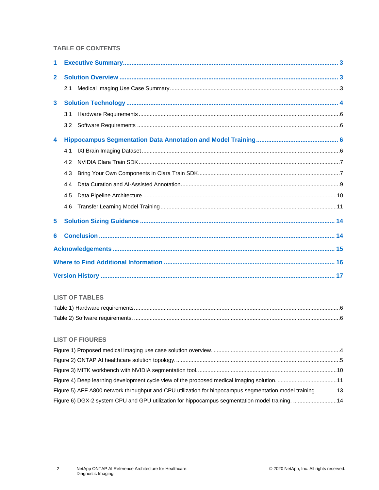#### **TABLE OF CONTENTS**

| 1              |     |  |  |  |
|----------------|-----|--|--|--|
| $\overline{2}$ |     |  |  |  |
|                | 2.1 |  |  |  |
| 3              |     |  |  |  |
|                | 3.1 |  |  |  |
|                | 3.2 |  |  |  |
| 4              |     |  |  |  |
|                | 4.1 |  |  |  |
|                | 4.2 |  |  |  |
|                | 4.3 |  |  |  |
|                | 4.4 |  |  |  |
|                | 4.5 |  |  |  |
|                | 4.6 |  |  |  |
| 5              |     |  |  |  |
| 6              |     |  |  |  |
|                |     |  |  |  |
|                |     |  |  |  |
|                |     |  |  |  |

#### **LIST OF TABLES**

#### **LIST OF FIGURES**

| Figure 4) Deep learning development cycle view of the proposed medical imaging solution11               |  |
|---------------------------------------------------------------------------------------------------------|--|
| Figure 5) AFF A800 network throughput and CPU utilization for hippocampus segmentation model training13 |  |
| Figure 6) DGX-2 system CPU and GPU utilization for hippocampus segmentation model training. 14          |  |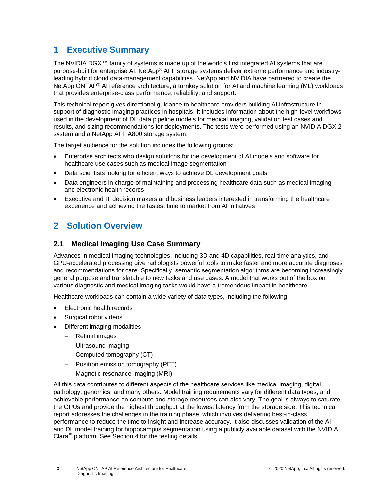## <span id="page-2-0"></span>**1 Executive Summary**

The NVIDIA DGX™ family of systems is made up of the world's first integrated AI systems that are purpose-built for enterprise AI. NetApp® AFF storage systems deliver extreme performance and industryleading hybrid cloud data-management capabilities. NetApp and NVIDIA have partnered to create the NetApp ONTAP® AI reference architecture, a turnkey solution for AI and machine learning (ML) workloads that provides enterprise-class performance, reliability, and support.

This technical report gives directional guidance to healthcare providers building AI infrastructure in support of diagnostic imaging practices in hospitals. It includes information about the high-level workflows used in the development of DL data pipeline models for medical imaging, validation test cases and results, and sizing recommendations for deployments. The tests were performed using an NVIDIA DGX-2 system and a NetApp AFF A800 storage system.

The target audience for the solution includes the following groups:

- Enterprise architects who design solutions for the development of AI models and software for healthcare use cases such as medical image segmentation
- Data scientists looking for efficient ways to achieve DL development goals
- Data engineers in charge of maintaining and processing healthcare data such as medical imaging and electronic health records
- Executive and IT decision makers and business leaders interested in transforming the healthcare experience and achieving the fastest time to market from AI initiatives

## <span id="page-2-1"></span>**2 Solution Overview**

#### <span id="page-2-2"></span>**2.1 Medical Imaging Use Case Summary**

Advances in medical imaging technologies, including 3D and 4D capabilities, real-time analytics, and GPU-accelerated processing give radiologists powerful tools to make faster and more accurate diagnoses and recommendations for care. Specifically, semantic segmentation algorithms are becoming increasingly general purpose and translatable to new tasks and use cases. A model that works out of the box on various diagnostic and medical imaging tasks would have a tremendous impact in healthcare.

Healthcare workloads can contain a wide variety of data types, including the following:

- Electronic health records
- Surgical robot videos
- Different imaging modalities
	- − Retinal images
	- − Ultrasound imaging
	- − Computed tomography (CT)
	- − Positron emission tomography (PET)
	- − Magnetic resonance imaging (MRI)

All this data contributes to different aspects of the healthcare services like medical imaging, digital pathology, genomics, and many others. Model training requirements vary for different data types, and achievable performance on compute and storage resources can also vary. The goal is always to saturate the GPUs and provide the highest throughput at the lowest latency from the storage side. This technical report addresses the challenges in the training phase, which involves delivering best-in-class performance to reduce the time to insight and increase accuracy. It also discusses validation of the AI and DL model training for hippocampus segmentation using a publicly available dataset with the NVIDIA Clara™ platform. See Section [4](#page-5-2) for the testing details.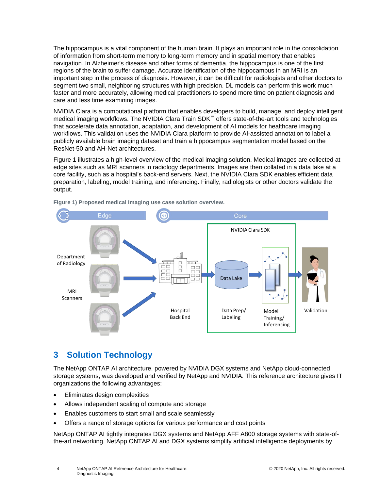The hippocampus is a vital component of the human brain. It plays an important role in the consolidation of information from short-term memory to long-term memory and in spatial memory that enables navigation. In Alzheimer's disease and other forms of dementia, the hippocampus is one of the first regions of the brain to suffer damage. Accurate identification of the hippocampus in an MRI is an important step in the process of diagnosis. However, it can be difficult for radiologists and other doctors to segment two small, neighboring structures with high precision. DL models can perform this work much faster and more accurately, allowing medical practitioners to spend more time on patient diagnosis and care and less time examining images.

NVIDIA Clara is a computational platform that enables developers to build, manage, and deploy intelligent medical imaging workflows. The NVIDIA Clara Train SDK™ offers state-of-the-art tools and technologies that accelerate data annotation, adaptation, and development of AI models for healthcare imaging workflows. This validation uses the NVIDIA Clara platform to provide AI-assisted annotation to label a publicly available brain imaging dataset and train a hippocampus segmentation model based on the ResNet-50 and AH-Net architectures.

[Figure 1](#page-3-1) illustrates a high-level overview of the medical imaging solution. Medical images are collected at edge sites such as MRI scanners in radiology departments. Images are then collated in a data lake at a core facility, such as a hospital's back-end servers. Next, the NVIDIA Clara SDK enables efficient data preparation, labeling, model training, and inferencing. Finally, radiologists or other doctors validate the output.



<span id="page-3-1"></span>**Figure 1) Proposed medical imaging use case solution overview.**

## <span id="page-3-0"></span>**3 Solution Technology**

The NetApp ONTAP AI architecture, powered by NVIDIA DGX systems and NetApp cloud-connected storage systems, was developed and verified by NetApp and NVIDIA. This reference architecture gives IT organizations the following advantages:

- Eliminates design complexities
- Allows independent scaling of compute and storage
- Enables customers to start small and scale seamlessly
- Offers a range of storage options for various performance and cost points

NetApp ONTAP AI tightly integrates DGX systems and NetApp AFF A800 storage systems with state-ofthe-art networking. NetApp ONTAP AI and DGX systems simplify artificial intelligence deployments by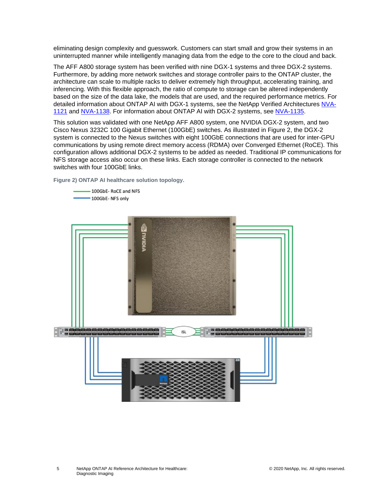eliminating design complexity and guesswork. Customers can start small and grow their systems in an uninterrupted manner while intelligently managing data from the edge to the core to the cloud and back.

The AFF A800 storage system has been verified with nine DGX-1 systems and three DGX-2 systems. Furthermore, by adding more network switches and storage controller pairs to the ONTAP cluster, the architecture can scale to multiple racks to deliver extremely high throughput, accelerating training, and inferencing. With this flexible approach, the ratio of compute to storage can be altered independently based on the size of the data lake, the models that are used, and the required performance metrics. For detailed information about ONTAP AI with DGX-1 systems, see the NetApp Verified Architectures [NVA-](https://www.netapp.com/us/media/nva-1121-design.pdf)[1121](https://www.netapp.com/us/media/nva-1121-design.pdf) and [NVA-1138.](http://www.netapp.com/us/media/nva-1138-design.pdf) For information about ONTAP AI with DGX-2 systems, see [NVA-1135.](https://www.netapp.com/us/media/nva-1135-design.pdf)

This solution was validated with one NetApp AFF A800 system, one NVIDIA DGX-2 system, and two Cisco Nexus 3232C 100 Gigabit Ethernet (100GbE) switches. As illustrated in [Figure 2,](#page-4-0) the DGX-2 system is connected to the Nexus switches with eight 100GbE connections that are used for inter-GPU communications by using remote direct memory access (RDMA) over Converged Ethernet (RoCE). This configuration allows additional DGX-2 systems to be added as needed. Traditional IP communications for NFS storage access also occur on these links. Each storage controller is connected to the network switches with four 100GbE links.

<span id="page-4-0"></span>**Figure 2) ONTAP AI healthcare solution topology.**

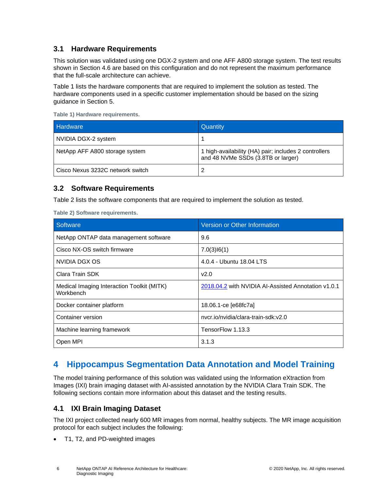### <span id="page-5-0"></span>**3.1 Hardware Requirements**

This solution was validated using one DGX-2 system and one AFF A800 storage system. The test results shown in Section 4.6 are based on this configuration and do not represent the maximum performance that the full-scale architecture can achieve.

[Table 1](#page-5-4) lists the hardware components that are required to implement the solution as tested. The hardware components used in a specific customer implementation should be based on the sizing guidance in Section 5.

| Hardware                         | Quantity                                                                                    |
|----------------------------------|---------------------------------------------------------------------------------------------|
| NVIDIA DGX-2 system              |                                                                                             |
| NetApp AFF A800 storage system   | 1 high-availability (HA) pair; includes 2 controllers<br>and 48 NVMe SSDs (3.8TB or larger) |
| Cisco Nexus 3232C network switch |                                                                                             |

<span id="page-5-4"></span>**Table 1) Hardware requirements.**

#### <span id="page-5-1"></span>**3.2 Software Requirements**

[Table 2](#page-5-5) lists the software components that are required to implement the solution as tested.

<span id="page-5-5"></span>**Table 2) Software requirements.**

| Software                                                | Version or Other Information                        |
|---------------------------------------------------------|-----------------------------------------------------|
| NetApp ONTAP data management software                   | 9.6                                                 |
| Cisco NX-OS switch firmware                             | 7.0(3)16(1)                                         |
| NVIDIA DGX OS                                           | 4.0.4 - Ubuntu 18.04 LTS                            |
| Clara Train SDK                                         | v2.0                                                |
| Medical Imaging Interaction Toolkit (MITK)<br>Workbench | 2018.04.2 with NVIDIA AI-Assisted Annotation v1.0.1 |
| Docker container platform                               | 18.06.1-ce [e68fc7a]                                |
| Container version                                       | nycr.jo/nyidia/clara-train-sdk:y2.0                 |
| Machine learning framework                              | TensorFlow 1.13.3                                   |
| Open MPI                                                | 3.1.3                                               |

## <span id="page-5-2"></span>**4 Hippocampus Segmentation Data Annotation and Model Training**

The model training performance of this solution was validated using the Information eXtraction from Images (IXI) brain imaging dataset with AI-assisted annotation by the NVIDIA Clara Train SDK. The following sections contain more information about this dataset and the testing results.

#### <span id="page-5-3"></span>**4.1 IXI Brain Imaging Dataset**

The IXI project collected nearly 600 MR images from normal, healthy subjects. The MR image acquisition protocol for each subject includes the following:

• T1, T2, and PD-weighted images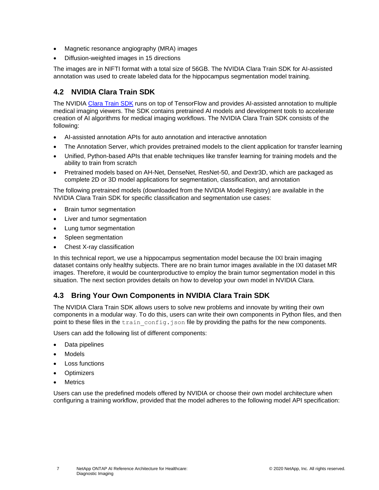- Magnetic resonance angiography (MRA) images
- Diffusion-weighted images in 15 directions

The images are in NIFTI format with a total size of 56GB. The NVIDIA Clara Train SDK for AI-assisted annotation was used to create labeled data for the hippocampus segmentation model training.

### <span id="page-6-0"></span>**4.2 NVIDIA Clara Train SDK**

The NVIDIA [Clara Train SDK](https://docs.nvidia.com/clara/tlt-mi/clara-train-sdk-v2.0/index.html) runs on top of TensorFlow and provides AI-assisted annotation to multiple medical imaging viewers. The SDK contains pretrained AI models and development tools to accelerate creation of AI algorithms for medical imaging workflows. The NVIDIA Clara Train SDK consists of the following:

- AI-assisted annotation APIs for auto annotation and interactive annotation
- The Annotation Server, which provides pretrained models to the client application for transfer learning
- Unified, Python-based APIs that enable techniques like transfer learning for training models and the ability to train from scratch
- Pretrained models based on AH-Net, DenseNet, ResNet-50, and Dextr3D, which are packaged as complete 2D or 3D model applications for segmentation, classification, and annotation

The following pretrained models (downloaded from the NVIDIA Model Registry) are available in the NVIDIA Clara Train SDK for specific classification and segmentation use cases:

- Brain tumor segmentation
- Liver and tumor segmentation
- Lung tumor segmentation
- Spleen segmentation
- Chest X-ray classification

In this technical report, we use a hippocampus segmentation model because the IXI brain imaging dataset contains only healthy subjects. There are no brain tumor images available in the IXI dataset MR images. Therefore, it would be counterproductive to employ the brain tumor segmentation model in this situation. The next section provides details on how to develop your own model in NVIDIA Clara.

### <span id="page-6-1"></span>**4.3 Bring Your Own Components in NVIDIA Clara Train SDK**

The NVIDIA Clara Train SDK allows users to solve new problems and innovate by writing their own components in a modular way. To do this, users can write their own components in Python files, and then point to these files in the train config.json file by providing the paths for the new components.

Users can add the following list of different components:

- Data pipelines
- Models
- Loss functions
- **Optimizers**
- **Metrics**

Users can use the predefined models offered by NVIDIA or choose their own model architecture when configuring a training workflow, provided that the model adheres to the following model API specification: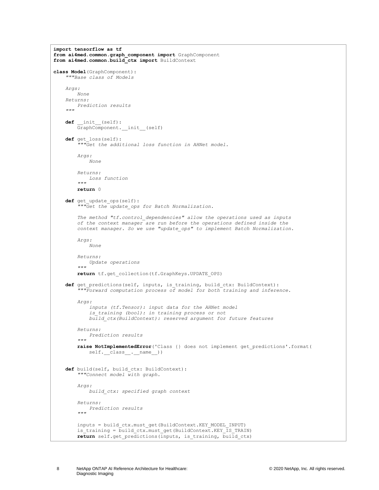```
import tensorflow as tf
from ai4med.common.graph_component import GraphComponent
from ai4med.common.build_ctx import BuildContext
class Model(GraphComponent):
     """Base class of Models
    Args:
        None
    Returns:
        Prediction results
 """
    def __init__(self):
        GraphComponent.__init__(self)
    def get_loss(self):
         """Get the additional loss function in AHNet model.
        Args:
            None
 Returns:
 Loss function
 """
        return 0
    def get_update_ops(self):
         """Get the update_ops for Batch Normalization.
        The method "tf.control_dependencies" allow the operations used as inputs
        of the context manager are run before the operations defined inside the
        context manager. So we use "update_ops" to implement Batch Normalization.
        Args:
           None
        Returns:
 Update operations
 """
        return tf.get_collection(tf.GraphKeys.UPDATE_OPS)
    def get_predictions(self, inputs, is_training, build_ctx: BuildContext):
         """Forward computation process of model for both training and inference.
        Args:
             inputs (tf.Tensor): input data for the AHNet model
             is_training (bool): in training process or not
            build_ctx(BuildContext): reserved argument for future features
        Returns:
            Prediction results
         """
        raise NotImplementedError('Class {} does not implement get_predictions'.format(
            self.__class__._name__))
     def build(self, build_ctx: BuildContext):
         """Connect model with graph.
        Args:
            build_ctx: specified graph context
        Returns:
 Prediction results
 """
        inputs = build_ctx.must_get(BuildContext.KEY_MODEL_INPUT)
       is training = build ctx.must get(BuildContext.KEY_IS_TRAIN)
       return self.get predictions(inputs, is training, build ctx)
```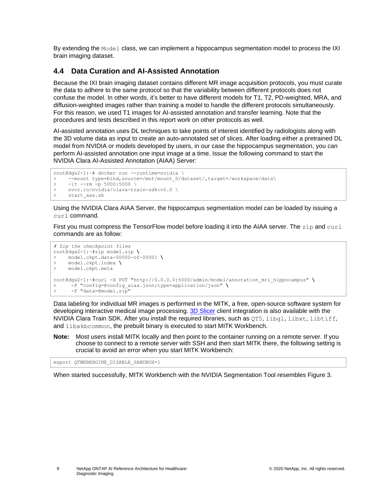By extending the Model class, we can implement a hippocampus segmentation model to process the IXI brain imaging dataset.

#### <span id="page-8-0"></span>**4.4 Data Curation and AI-Assisted Annotation**

Because the IXI brain imaging dataset contains different MR image acquisition protocols, you must curate the data to adhere to the same protocol so that the variability between different protocols does not confuse the model. In other words, it's better to have different models for T1, T2, PD-weighted, MRA, and diffusion-weighted images rather than training a model to handle the different protocols simultaneously. For this reason, we used T1 images for AI-assisted annotation and transfer learning. Note that the procedures and tests described in this report work on other protocols as well.

AI-assisted annotation uses DL techniques to take points of interest identified by radiologists along with the 3D volume data as input to create an auto-annotated set of slices. After loading either a pretrained DL model from NVIDIA or models developed by users, in our case the hippocampus segmentation, you can perform AI-assisted annotation one input image at a time. Issue the following command to start the NVIDIA Clara AI-Assisted Annotation (AIAA) Server:

```
root@dgx2-1:~# docker run --runtime=nvidia \
> --mount type=bind,source=/mnt/mount_0/dataset/,target=/workspace/data\<br>> -it --rm -p 5000:5000\
> -it --rm -p 5000:5000 \
     > nvcr.io/nvidia/clara-train-sdk:v2.0 \
> start aas.sh
```
Using the NVIDIA Clara AIAA Server, the hippocampus segmentation model can be loaded by issuing a curl command.

First you must compress the TensorFlow model before loading it into the AIAA server. The  $\text{zip}$  and  $\text{curl}$ commands are as follow:

```
# Zip the checkpoint files
root@dgx2-1:~#zip model.zip \
> model.ckpt.data-00000-of-00001 \
> model.ckpt.index \
> model.ckpt.meta
root@dgx2-1:~#curl -X PUT "http://0.0.0.0:5000/admin/model/annotation_mri_hippocampus" \
     > -F "config=@config_aiaa.json;type=application/json" \
> -F "data=@model.zip"
```
Data labeling for individual MR images is performed in the MITK, a free, open-source software system for developing interactive medical image processing. [3D Slicer](https://www.slicer.org/) client integration is also available with the NVIDIA Clara Train SDK. After you install the required libraries, such as  $QT5$ , libgl, libxt, libtiff, and libxkbcommon, the prebuilt binary is executed to start MITK Workbench.

**Note:** Most users install MITK locally and then point to the container running on a remote server. If you choose to connect to a remote server with SSH and then start MITK there, the following setting is crucial to avoid an error when you start MITK Workbench:

export QTWEBENGINE\_DISABLE\_SANDBOX=1

When started successfully, MITK Workbench with the NVIDIA Segmentation Tool resembles [Figure 3.](#page-9-1)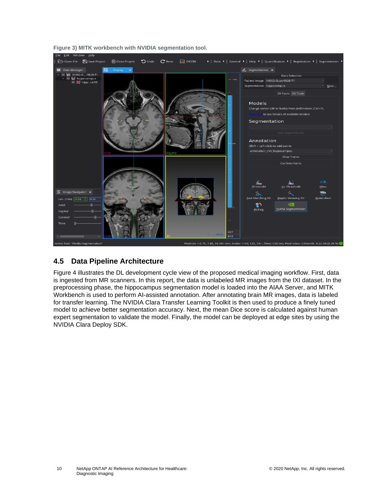

<span id="page-9-1"></span>**Figure 3) MITK workbench with NVIDIA segmentation tool.**

### <span id="page-9-0"></span>**4.5 Data Pipeline Architecture**

[Figure 4](#page-10-1) illustrates the DL development cycle view of the proposed medical imaging workflow. First, data is ingested from MR scanners. In this report, the data is unlabeled MR images from the IXI dataset. In the preprocessing phase, the hippocampus segmentation model is loaded into the AIAA Server, and MITK Workbench is used to perform AI-assisted annotation. After annotating brain MR images, data is labeled for transfer learning. The NVIDIA Clara Transfer Learning Toolkit is then used to produce a finely tuned model to achieve better segmentation accuracy. Next, the mean Dice score is calculated against human expert segmentation to validate the model. Finally, the model can be deployed at edge sites by using the NVIDIA Clara Deploy SDK.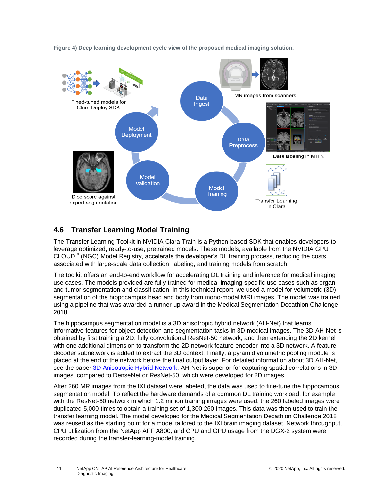

<span id="page-10-1"></span>**Figure 4) Deep learning development cycle view of the proposed medical imaging solution.**

### <span id="page-10-0"></span>**4.6 Transfer Learning Model Training**

The Transfer Learning Toolkit in NVIDIA Clara Train is a Python-based SDK that enables developers to leverage optimized, ready-to-use, pretrained models. These models, available from the NVIDIA GPU CLOUD™ (NGC) Model Registry, accelerate the developer's DL training process, reducing the costs associated with large-scale data collection, labeling, and training models from scratch.

The toolkit offers an end-to-end workflow for accelerating DL training and inference for medical imaging use cases. The models provided are fully trained for medical-imaging-specific use cases such as organ and tumor segmentation and classification. In this technical report, we used a model for volumetric (3D) segmentation of the hippocampus head and body from mono-modal MRI images. The model was trained using a pipeline that was awarded a runner-up award in the Medical Segmentation Decathlon Challenge 2018.

The hippocampus segmentation model is a 3D anisotropic hybrid network (AH-Net) that learns informative features for object detection and segmentation tasks in 3D medical images. The 3D AH-Net is obtained by first training a 2D, fully convolutional ResNet-50 network, and then extending the 2D kernel with one additional dimension to transform the 2D network feature encoder into a 3D network. A feature decoder subnetwork is added to extract the 3D context. Finally, a pyramid volumetric pooling module is placed at the end of the network before the final output layer. For detailed information about 3D AH-Net, see the paper [3D Anisotropic Hybrid Network.](https://www.researchgate.net/publication/327629944_3D_Anisotropic_Hybrid_Network_Transferring_Convolutional_Features_from_2D_Images_to_3D_Anisotropic_Volumes_21st_International_Conference_Granada_Spain_September_16-20_2018_Proceedings_Part_II) AH-Net is superior for capturing spatial correlations in 3D images, compared to DenseNet or ResNet-50, which were developed for 2D images.

After 260 MR images from the IXI dataset were labeled, the data was used to fine-tune the hippocampus segmentation model. To reflect the hardware demands of a common DL training workload, for example with the ResNet-50 network in which 1.2 million training images were used, the 260 labeled images were duplicated 5,000 times to obtain a training set of 1,300,260 images. This data was then used to train the transfer learning model. The model developed for the Medical Segmentation Decathlon Challenge 2018 was reused as the starting point for a model tailored to the IXI brain imaging dataset. Network throughput, CPU utilization from the NetApp AFF A800, and CPU and GPU usage from the DGX-2 system were recorded during the transfer-learning-model training.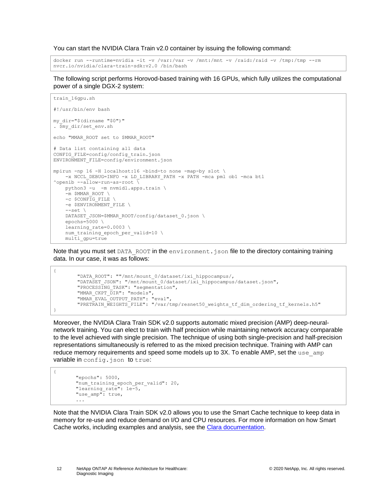You can start the NVIDIA Clara Train v2.0 container by issuing the following command:

docker run --runtime=nvidia -it -v /var:/var -v /mnt:/mnt -v /raid:/raid -v /tmp:/tmp --rm nvcr.io/nvidia/clara-train-sdk:v2.0 /bin/bash

The following script performs Horovod-based training with 16 GPUs, which fully utilizes the computational power of a single DGX-2 system:

```
train_16gpu.sh
#!/usr/bin/env bash
my_dir="$(dirname "$0")"
. \overline{\$my dir/set env.sh
echo "MMAR_ROOT set to $MMAR_ROOT"
# Data list containing all data
CONFIG FILE=config/config train.json
ENVIRONMENT_FILE=config/environment.json
mpirun -np 16 -H localhost:16 -bind-to none -map-by slot \
   -x NCCL DEBUG=INFO -x LD LIBRARY PATH -x PATH -mca pml ob1 -mca btl
\gammaopenib --allow-run-as-root \overline{\wedge} python3 -u -m nvmidl.apps.train \
     -m $MMAR_ROOT \
     -c $CONFIG_FILE \
    -e $ENVIRONMENT FILE \
    --set \ \ iDATASET JSON=$MMAR_ROOT/config/dataset 0.json \
     epochs=5000 \
    learning rate=0.0003 \
    num training epoch per valid=10 \
    multi gpu=true
```
Note that you must set DATA\_ROOT in the environment.json file to the directory containing training data. In our case, it was as follows:

```
 "DATA_ROOT": ""/mnt/mount_0/dataset/ixi_hippocampus/,
 "DATASET_JSON": "/mnt/mount_0/dataset/ixi_hippocampus/dataset.json",
 "PROCESSING_TASK": "segmentation",
"MMAR_CKPT DIR": "models",
 "MMAR_EVAL_OUTPUT_PATH": "eval",
 "PRETRAIN_WEIGHTS_FILE": "/var/tmp/resnet50_weights_tf_dim_ordering_tf_kernels.h5"
```
Moreover, the NVIDIA Clara Train SDK v2.0 supports automatic mixed precision (AMP) deep-neuralnetwork training. You can elect to train with half precision while maintaining network accuracy comparable to the level achieved with single precision. The technique of using both single-precision and half-precision representations simultaneously is referred to as the mixed precision technique. Training with AMP can reduce memory requirements and speed some models up to  $3X$ . To enable AMP, set the use  $\alpha$  amp variable in config.json to true:

```
{
       "epochs": 5000,
       "num_training_epoch_per_valid": 20,
       "learning rate": 1e-5,
       "use_amp": true,
        ...
```
{

}

Note that the NVIDIA Clara Train SDK v2.0 allows you to use the Smart Cache technique to keep data in memory for re-use and reduce demand on I/O and CPU resources. For more information on how Smart Cache works, including examples and analysis, see the Clara [documentation.](https://docs.nvidia.com/clara/tlt-mi/clara-train-sdk-v2.0/nvmidl/additional_features/smart_cache.html)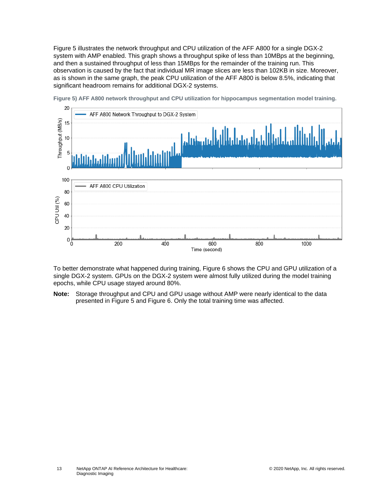[Figure 5](#page-12-0) illustrates the network throughput and CPU utilization of the AFF A800 for a single DGX-2 system with AMP enabled. This graph shows a throughput spike of less than 10MBps at the beginning, and then a sustained throughput of less than 15MBps for the remainder of the training run. This observation is caused by the fact that individual MR image slices are less than 102KB in size. Moreover, as is shown in the same graph, the peak CPU utilization of the AFF A800 is below 8.5%, indicating that significant headroom remains for additional DGX-2 systems.



<span id="page-12-0"></span>**Figure 5) AFF A800 network throughput and CPU utilization for hippocampus segmentation model training.**

To better demonstrate what happened during training, [Figure 6](#page-13-2) shows the CPU and GPU utilization of a single DGX-2 system. GPUs on the DGX-2 system were almost fully utilized during the model training epochs, while CPU usage stayed around 80%.

**Note:** Storage throughput and CPU and GPU usage without AMP were nearly identical to the data presented in [Figure 5](#page-12-0) and [Figure 6.](#page-13-2) Only the total training time was affected.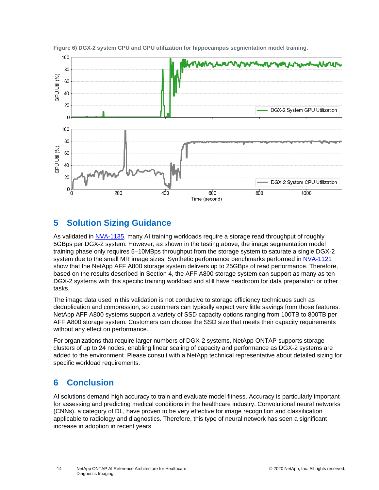

<span id="page-13-2"></span>**Figure 6) DGX-2 system CPU and GPU utilization for hippocampus segmentation model training.**

## <span id="page-13-0"></span>**5 Solution Sizing Guidance**

As validated in [NVA-1135,](https://www.netapp.com/us/media/nva-1135-design.pdf) many AI training workloads require a storage read throughput of roughly 5GBps per DGX-2 system. However, as shown in the testing above, the image segmentation model training phase only requires 5–10MBps throughput from the storage system to saturate a single DGX-2 system due to the small MR image sizes. Synthetic performance benchmarks performed in [NVA-1121](https://www.netapp.com/us/media/nva-1121-design.pdf) show that the NetApp AFF A800 storage system delivers up to 25GBps of read performance. Therefore, based on the results described in Section 4, the AFF A800 storage system can support as many as ten DGX-2 systems with this specific training workload and still have headroom for data preparation or other tasks.

The image data used in this validation is not conducive to storage efficiency techniques such as deduplication and compression, so customers can typically expect very little savings from those features. NetApp AFF A800 systems support a variety of SSD capacity options ranging from 100TB to 800TB per AFF A800 storage system. Customers can choose the SSD size that meets their capacity requirements without any effect on performance.

For organizations that require larger numbers of DGX-2 systems, NetApp ONTAP supports storage clusters of up to 24 nodes, enabling linear scaling of capacity and performance as DGX-2 systems are added to the environment. Please consult with a NetApp technical representative about detailed sizing for specific workload requirements.

### <span id="page-13-1"></span>**6 Conclusion**

AI solutions demand high accuracy to train and evaluate model fitness. Accuracy is particularly important for assessing and predicting medical conditions in the healthcare industry. Convolutional neural networks (CNNs), a category of DL, have proven to be very effective for image recognition and classification applicable to radiology and diagnostics. Therefore, this type of neural network has seen a significant increase in adoption in recent years.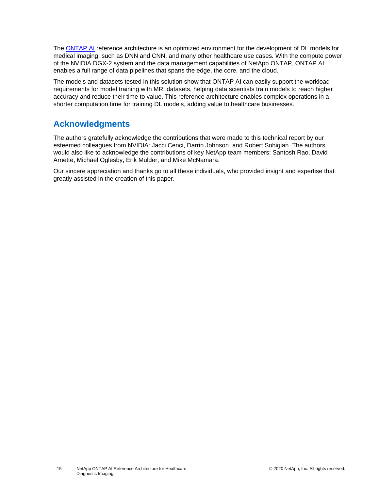The [ONTAP AI](https://www.netapp.com/us/products/ontap-ai.aspx) reference architecture is an optimized environment for the development of DL models for medical imaging, such as DNN and CNN, and many other healthcare use cases. With the compute power of the NVIDIA DGX-2 system and the data management capabilities of NetApp ONTAP, ONTAP AI enables a full range of data pipelines that spans the edge, the core, and the cloud.

The models and datasets tested in this solution show that ONTAP AI can easily support the workload requirements for model training with MRI datasets, helping data scientists train models to reach higher accuracy and reduce their time to value. This reference architecture enables complex operations in a shorter computation time for training DL models, adding value to healthcare businesses.

### <span id="page-14-0"></span>**Acknowledgments**

The authors gratefully acknowledge the contributions that were made to this technical report by our esteemed colleagues from NVIDIA: Jacci Cenci, Darrin Johnson, and Robert Sohigian. The authors would also like to acknowledge the contributions of key NetApp team members: Santosh Rao, David Arnette, Michael Oglesby, Erik Mulder, and Mike McNamara.

Our sincere appreciation and thanks go to all these individuals, who provided insight and expertise that greatly assisted in the creation of this paper.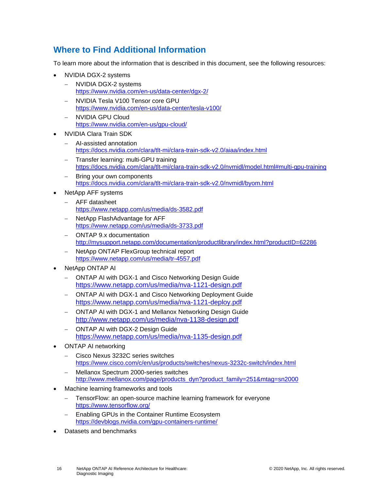## <span id="page-15-0"></span>**Where to Find Additional Information**

To learn more about the information that is described in this document, see the following resources:

- NVIDIA DGX-2 systems
	- − NVIDIA DGX-2 systems <https://www.nvidia.com/en-us/data-center/dgx-2/>
	- − NVIDIA Tesla V100 Tensor core GPU <https://www.nvidia.com/en-us/data-center/tesla-v100/>
	- − NVIDIA GPU Cloud <https://www.nvidia.com/en-us/gpu-cloud/>
- NVIDIA Clara Train SDK
	- − AI-assisted annotation <https://docs.nvidia.com/clara/tlt-mi/clara-train-sdk-v2.0/aiaa/index.html>
	- − Transfer learning: multi-GPU training <https://docs.nvidia.com/clara/tlt-mi/clara-train-sdk-v2.0/nvmidl/model.html#multi-gpu-training>
	- Bring your own components <https://docs.nvidia.com/clara/tlt-mi/clara-train-sdk-v2.0/nvmidl/byom.html>
- NetApp AFF systems
	- − AFF datasheet <https://www.netapp.com/us/media/ds-3582.pdf>
	- − NetApp FlashAdvantage for AFF <https://www.netapp.com/us/media/ds-3733.pdf>
	- − ONTAP 9.x documentation <http://mysupport.netapp.com/documentation/productlibrary/index.html?productID=62286>
	- − NetApp ONTAP FlexGroup technical report <https://www.netapp.com/us/media/tr-4557.pdf>
- NetApp ONTAP AI
	- − ONTAP AI with DGX-1 and Cisco Networking Design Guide <https://www.netapp.com/us/media/nva-1121-design.pdf>
	- − ONTAP AI with DGX-1 and Cisco Networking Deployment Guide <https://www.netapp.com/us/media/nva-1121-deploy.pdf>
	- − ONTAP AI with DGX-1 and Mellanox Networking Design Guide <http://www.netapp.com/us/media/nva-1138-design.pdf>
	- − ONTAP AI with DGX-2 Design Guide <https://www.netapp.com/us/media/nva-1135-design.pdf>
- ONTAP AI networking
	- − Cisco Nexus 3232C series switches <https://www.cisco.com/c/en/us/products/switches/nexus-3232c-switch/index.html>
	- − Mellanox Spectrum 2000-series switches [http://www.mellanox.com/page/products\\_dyn?product\\_family=251&mtag=sn2000](http://www.mellanox.com/page/products_dyn?product_family=251&mtag=sn2000)
- Machine learning frameworks and tools
	- TensorFlow: an open-source machine learning framework for everyone <https://www.tensorflow.org/>
	- Enabling GPUs in the Container Runtime Ecosystem <https://devblogs.nvidia.com/gpu-containers-runtime/>
- Datasets and benchmarks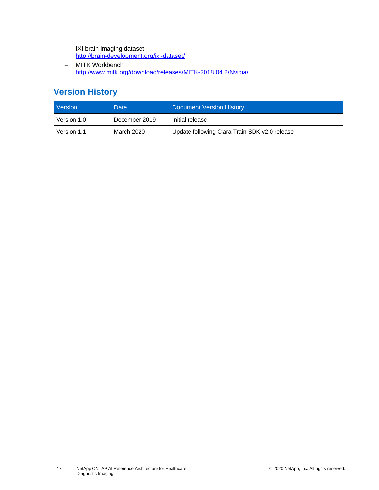- − IXI brain imaging dataset <http://brain-development.org/ixi-dataset/>
- − MITK Workbench <http://www.mitk.org/download/releases/MITK-2018.04.2/Nvidia/>

## <span id="page-16-0"></span>**Version History**

| Version     | <b>Date</b>   | <b>Document Version History</b>               |
|-------------|---------------|-----------------------------------------------|
| Version 1.0 | December 2019 | Initial release                               |
| Version 1.1 | March 2020    | Update following Clara Train SDK v2.0 release |